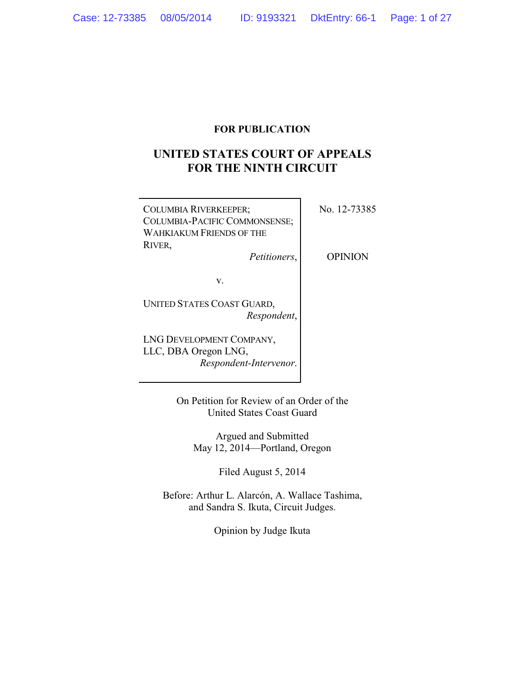## **FOR PUBLICATION**

# **UNITED STATES COURT OF APPEALS FOR THE NINTH CIRCUIT**

| <b>COLUMBIA RIVERKEEPER;</b><br>COLUMBIA-PACIFIC COMMONSENSE;<br>WAHKIAKUM FRIENDS OF THE<br>RIVER, | No. 12-73385   |
|-----------------------------------------------------------------------------------------------------|----------------|
| Petitioners,                                                                                        | <b>OPINION</b> |
| V.                                                                                                  |                |
| UNITED STATES COAST GUARD,<br>Respondent,                                                           |                |
| LNG DEVELOPMENT COMPANY,<br>LLC, DBA Oregon LNG,                                                    |                |

*Respondent-Intervenor*.

On Petition for Review of an Order of the United States Coast Guard

Argued and Submitted May 12, 2014—Portland, Oregon

Filed August 5, 2014

Before: Arthur L. Alarcón, A. Wallace Tashima, and Sandra S. Ikuta, Circuit Judges.

Opinion by Judge Ikuta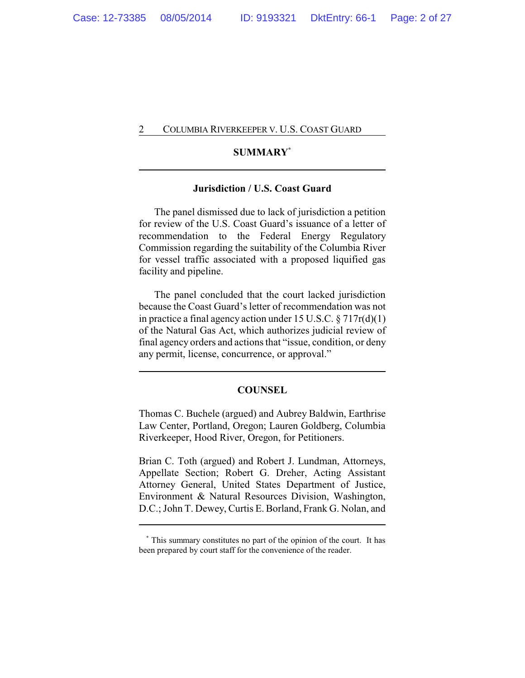## **SUMMARY\***

### **Jurisdiction / U.S. Coast Guard**

The panel dismissed due to lack of jurisdiction a petition for review of the U.S. Coast Guard's issuance of a letter of recommendation to the Federal Energy Regulatory Commission regarding the suitability of the Columbia River for vessel traffic associated with a proposed liquified gas facility and pipeline.

The panel concluded that the court lacked jurisdiction because the Coast Guard's letter of recommendation was not in practice a final agency action under 15 U.S.C. § 717r(d)(1) of the Natural Gas Act, which authorizes judicial review of final agency orders and actions that "issue, condition, or deny any permit, license, concurrence, or approval."

#### **COUNSEL**

Thomas C. Buchele (argued) and Aubrey Baldwin, Earthrise Law Center, Portland, Oregon; Lauren Goldberg, Columbia Riverkeeper, Hood River, Oregon, for Petitioners.

Brian C. Toth (argued) and Robert J. Lundman, Attorneys, Appellate Section; Robert G. Dreher, Acting Assistant Attorney General, United States Department of Justice, Environment & Natural Resources Division, Washington, D.C.; John T. Dewey, Curtis E. Borland, Frank G. Nolan, and

**<sup>\*</sup>** This summary constitutes no part of the opinion of the court. It has been prepared by court staff for the convenience of the reader.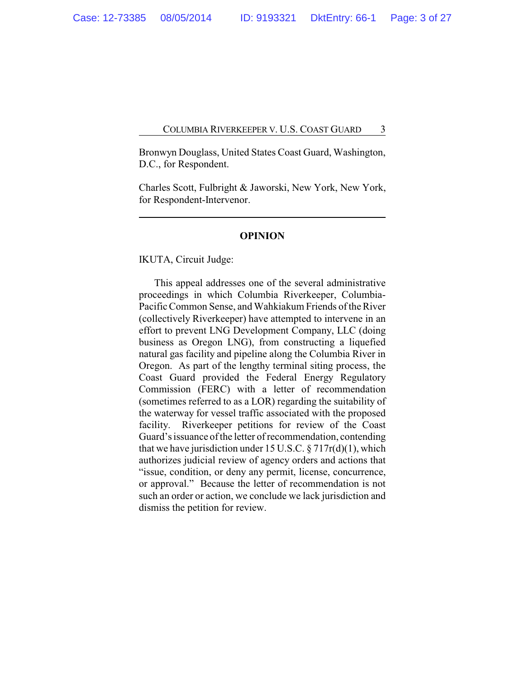Bronwyn Douglass, United States Coast Guard, Washington, D.C., for Respondent.

Charles Scott, Fulbright & Jaworski, New York, New York, for Respondent-Intervenor.

#### **OPINION**

IKUTA, Circuit Judge:

This appeal addresses one of the several administrative proceedings in which Columbia Riverkeeper, Columbia-Pacific Common Sense, and Wahkiakum Friends of the River (collectively Riverkeeper) have attempted to intervene in an effort to prevent LNG Development Company, LLC (doing business as Oregon LNG), from constructing a liquefied natural gas facility and pipeline along the Columbia River in Oregon. As part of the lengthy terminal siting process, the Coast Guard provided the Federal Energy Regulatory Commission (FERC) with a letter of recommendation (sometimes referred to as a LOR) regarding the suitability of the waterway for vessel traffic associated with the proposed facility. Riverkeeper petitions for review of the Coast Guard's issuance of the letter of recommendation, contending that we have jurisdiction under 15 U.S.C.  $\S 717r(d)(1)$ , which authorizes judicial review of agency orders and actions that "issue, condition, or deny any permit, license, concurrence, or approval." Because the letter of recommendation is not such an order or action, we conclude we lack jurisdiction and dismiss the petition for review.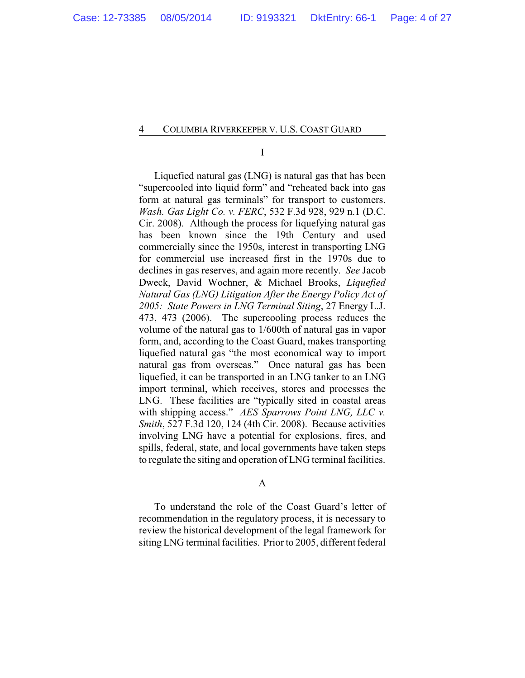I

Liquefied natural gas (LNG) is natural gas that has been "supercooled into liquid form" and "reheated back into gas form at natural gas terminals" for transport to customers. *Wash. Gas Light Co. v. FERC*, 532 F.3d 928, 929 n.1 (D.C. Cir. 2008). Although the process for liquefying natural gas has been known since the 19th Century and used commercially since the 1950s, interest in transporting LNG for commercial use increased first in the 1970s due to declines in gas reserves, and again more recently. *See* Jacob Dweck, David Wochner, & Michael Brooks, *Liquefied Natural Gas (LNG) Litigation After the Energy Policy Act of 2005: State Powers in LNG Terminal Siting*, 27 Energy L.J. 473, 473 (2006). The supercooling process reduces the volume of the natural gas to 1/600th of natural gas in vapor form, and, according to the Coast Guard, makes transporting liquefied natural gas "the most economical way to import natural gas from overseas." Once natural gas has been liquefied, it can be transported in an LNG tanker to an LNG import terminal, which receives, stores and processes the LNG. These facilities are "typically sited in coastal areas with shipping access." *AES Sparrows Point LNG, LLC v. Smith*, 527 F.3d 120, 124 (4th Cir. 2008). Because activities involving LNG have a potential for explosions, fires, and spills, federal, state, and local governments have taken steps to regulate the siting and operation of LNG terminal facilities.

A

To understand the role of the Coast Guard's letter of recommendation in the regulatory process, it is necessary to review the historical development of the legal framework for siting LNG terminal facilities. Prior to 2005, different federal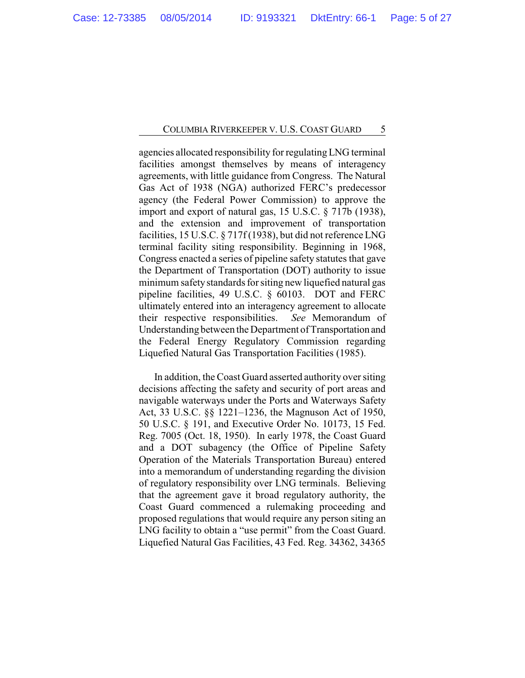agencies allocated responsibility for regulatingLNG terminal facilities amongst themselves by means of interagency agreements, with little guidance from Congress. The Natural Gas Act of 1938 (NGA) authorized FERC's predecessor agency (the Federal Power Commission) to approve the import and export of natural gas, 15 U.S.C. § 717b (1938), and the extension and improvement of transportation facilities, 15 U.S.C. § 717f (1938), but did not reference LNG terminal facility siting responsibility. Beginning in 1968, Congress enacted a series of pipeline safety statutes that gave the Department of Transportation (DOT) authority to issue minimum safetystandards for siting new liquefied natural gas pipeline facilities, 49 U.S.C. § 60103. DOT and FERC ultimately entered into an interagency agreement to allocate their respective responsibilities. *See* Memorandum of Understanding between the Department of Transportation and the Federal Energy Regulatory Commission regarding Liquefied Natural Gas Transportation Facilities (1985).

In addition, the Coast Guard asserted authority over siting decisions affecting the safety and security of port areas and navigable waterways under the Ports and Waterways Safety Act, 33 U.S.C. §§ 1221–1236, the Magnuson Act of 1950, 50 U.S.C. § 191, and Executive Order No. 10173, 15 Fed. Reg. 7005 (Oct. 18, 1950). In early 1978, the Coast Guard and a DOT subagency (the Office of Pipeline Safety Operation of the Materials Transportation Bureau) entered into a memorandum of understanding regarding the division of regulatory responsibility over LNG terminals. Believing that the agreement gave it broad regulatory authority, the Coast Guard commenced a rulemaking proceeding and proposed regulations that would require any person siting an LNG facility to obtain a "use permit" from the Coast Guard. Liquefied Natural Gas Facilities, 43 Fed. Reg. 34362, 34365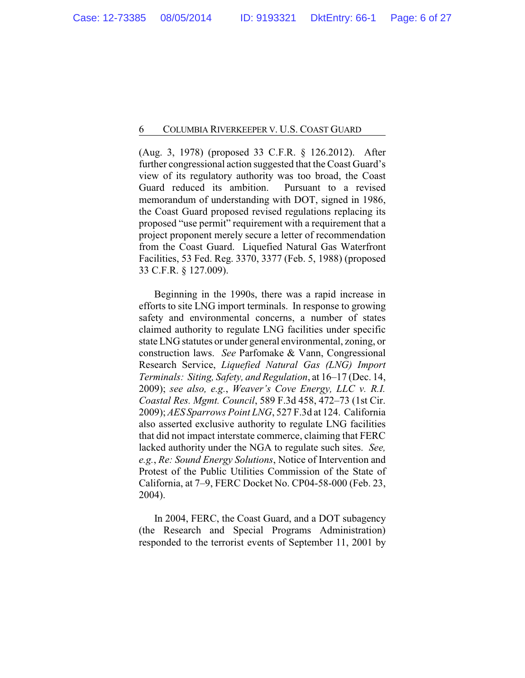(Aug. 3, 1978) (proposed 33 C.F.R. § 126.2012). After further congressional action suggested that the Coast Guard's view of its regulatory authority was too broad, the Coast Guard reduced its ambition. Pursuant to a revised memorandum of understanding with DOT, signed in 1986, the Coast Guard proposed revised regulations replacing its proposed "use permit" requirement with a requirement that a project proponent merely secure a letter of recommendation from the Coast Guard. Liquefied Natural Gas Waterfront Facilities, 53 Fed. Reg. 3370, 3377 (Feb. 5, 1988) (proposed 33 C.F.R. § 127.009).

Beginning in the 1990s, there was a rapid increase in efforts to site LNG import terminals. In response to growing safety and environmental concerns, a number of states claimed authority to regulate LNG facilities under specific state LNG statutes or under general environmental, zoning, or construction laws. *See* Parfomake & Vann, Congressional Research Service, *Liquefied Natural Gas (LNG) Import Terminals: Siting, Safety, and Regulation*, at 16–17 (Dec. 14, 2009); *see also, e.g.*, *Weaver's Cove Energy, LLC v. R.I. Coastal Res. Mgmt. Council*, 589 F.3d 458, 472–73 (1st Cir. 2009); *AES Sparrows Point LNG*, 527 F.3d at 124. California also asserted exclusive authority to regulate LNG facilities that did not impact interstate commerce, claiming that FERC lacked authority under the NGA to regulate such sites. *See, e.g.*, *Re: Sound Energy Solutions*, Notice of Intervention and Protest of the Public Utilities Commission of the State of California, at 7–9, FERC Docket No. CP04-58-000 (Feb. 23, 2004).

In 2004, FERC, the Coast Guard, and a DOT subagency (the Research and Special Programs Administration) responded to the terrorist events of September 11, 2001 by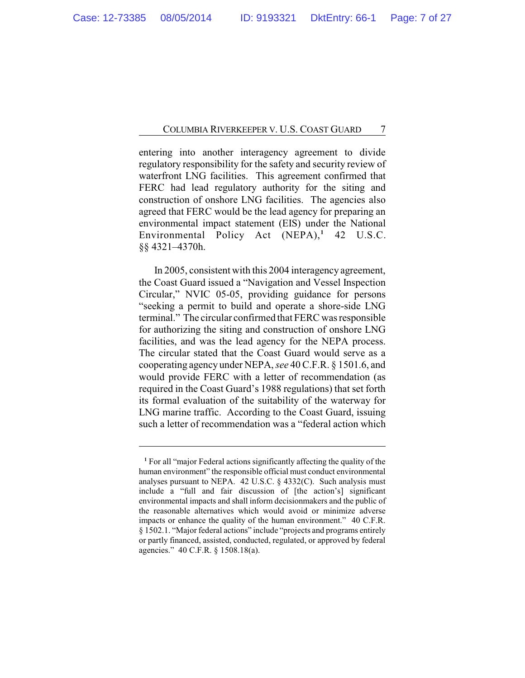entering into another interagency agreement to divide regulatory responsibility for the safety and security review of waterfront LNG facilities. This agreement confirmed that FERC had lead regulatory authority for the siting and construction of onshore LNG facilities. The agencies also agreed that FERC would be the lead agency for preparing an environmental impact statement (EIS) under the National Environmental Policy Act (NEPA),<sup>1</sup> 42 U.S.C. §§ 4321–4370h.

In 2005, consistent with this 2004 interagency agreement, the Coast Guard issued a "Navigation and Vessel Inspection Circular," NVIC 05-05, providing guidance for persons "seeking a permit to build and operate a shore-side LNG terminal." The circular confirmed that FERC was responsible for authorizing the siting and construction of onshore LNG facilities, and was the lead agency for the NEPA process. The circular stated that the Coast Guard would serve as a cooperating agency under NEPA, *see* 40 C.F.R. § 1501.6, and would provide FERC with a letter of recommendation (as required in the Coast Guard's 1988 regulations) that set forth its formal evaluation of the suitability of the waterway for LNG marine traffic. According to the Coast Guard, issuing such a letter of recommendation was a "federal action which

**<sup>1</sup>** For all "major Federal actions significantly affecting the quality of the human environment" the responsible official must conduct environmental analyses pursuant to NEPA. 42 U.S.C. § 4332(C). Such analysis must include a "full and fair discussion of [the action's] significant environmental impacts and shall inform decisionmakers and the public of the reasonable alternatives which would avoid or minimize adverse impacts or enhance the quality of the human environment." 40 C.F.R. § 1502.1. "Major federal actions" include "projects and programs entirely or partly financed, assisted, conducted, regulated, or approved by federal agencies." 40 C.F.R. § 1508.18(a).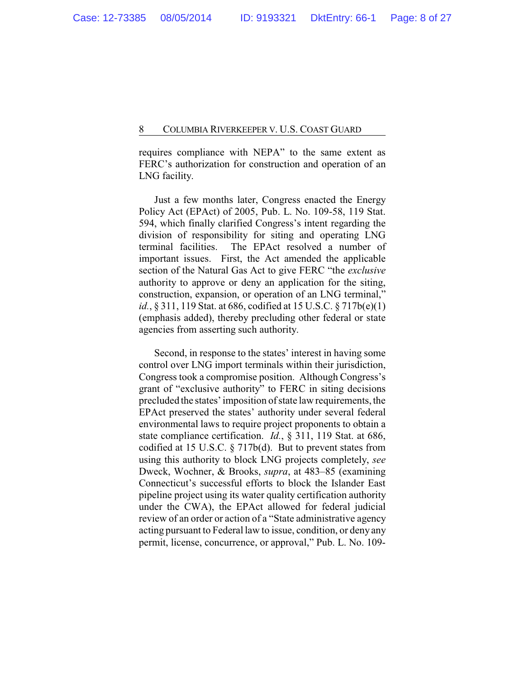requires compliance with NEPA" to the same extent as FERC's authorization for construction and operation of an LNG facility.

Just a few months later, Congress enacted the Energy Policy Act (EPAct) of 2005, Pub. L. No. 109-58, 119 Stat. 594, which finally clarified Congress's intent regarding the division of responsibility for siting and operating LNG terminal facilities. The EPAct resolved a number of important issues. First, the Act amended the applicable section of the Natural Gas Act to give FERC "the *exclusive* authority to approve or deny an application for the siting, construction, expansion, or operation of an LNG terminal," *id.*, § 311, 119 Stat. at 686, codified at 15 U.S.C. § 717b(e)(1) (emphasis added), thereby precluding other federal or state agencies from asserting such authority.

Second, in response to the states' interest in having some control over LNG import terminals within their jurisdiction, Congress took a compromise position. Although Congress's grant of "exclusive authority" to FERC in siting decisions precluded the states' imposition of state law requirements, the EPAct preserved the states' authority under several federal environmental laws to require project proponents to obtain a state compliance certification. *Id.*, § 311, 119 Stat. at 686, codified at 15 U.S.C. § 717b(d). But to prevent states from using this authority to block LNG projects completely, *see* Dweck, Wochner, & Brooks, *supra*, at 483–85 (examining Connecticut's successful efforts to block the Islander East pipeline project using its water quality certification authority under the CWA), the EPAct allowed for federal judicial review of an order or action of a "State administrative agency acting pursuant to Federal law to issue, condition, or deny any permit, license, concurrence, or approval," Pub. L. No. 109-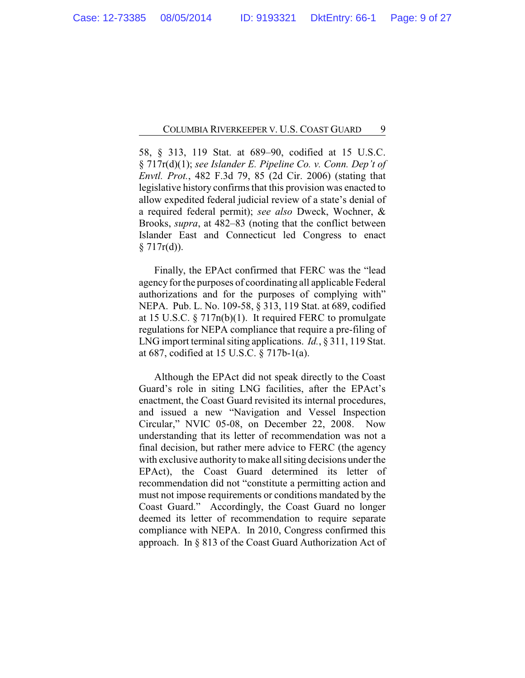58, § 313, 119 Stat. at 689–90, codified at 15 U.S.C. § 717r(d)(1); *see Islander E. Pipeline Co. v. Conn. Dep't of Envtl. Prot.*, 482 F.3d 79, 85 (2d Cir. 2006) (stating that legislative history confirms that this provision was enacted to allow expedited federal judicial review of a state's denial of a required federal permit); *see also* Dweck, Wochner, & Brooks, *supra*, at 482–83 (noting that the conflict between Islander East and Connecticut led Congress to enact  $§ 717r(d)$ .

Finally, the EPAct confirmed that FERC was the "lead agency for the purposes of coordinating all applicable Federal authorizations and for the purposes of complying with" NEPA. Pub. L. No. 109-58, § 313, 119 Stat. at 689, codified at 15 U.S.C. § 717n(b)(1). It required FERC to promulgate regulations for NEPA compliance that require a pre-filing of LNG import terminal siting applications. *Id.*, § 311, 119 Stat. at 687, codified at 15 U.S.C. § 717b-1(a).

Although the EPAct did not speak directly to the Coast Guard's role in siting LNG facilities, after the EPAct's enactment, the Coast Guard revisited its internal procedures, and issued a new "Navigation and Vessel Inspection Circular," NVIC 05-08, on December 22, 2008. Now understanding that its letter of recommendation was not a final decision, but rather mere advice to FERC (the agency with exclusive authority to make all siting decisions under the EPAct), the Coast Guard determined its letter of recommendation did not "constitute a permitting action and must not impose requirements or conditions mandated by the Coast Guard." Accordingly, the Coast Guard no longer deemed its letter of recommendation to require separate compliance with NEPA. In 2010, Congress confirmed this approach. In § 813 of the Coast Guard Authorization Act of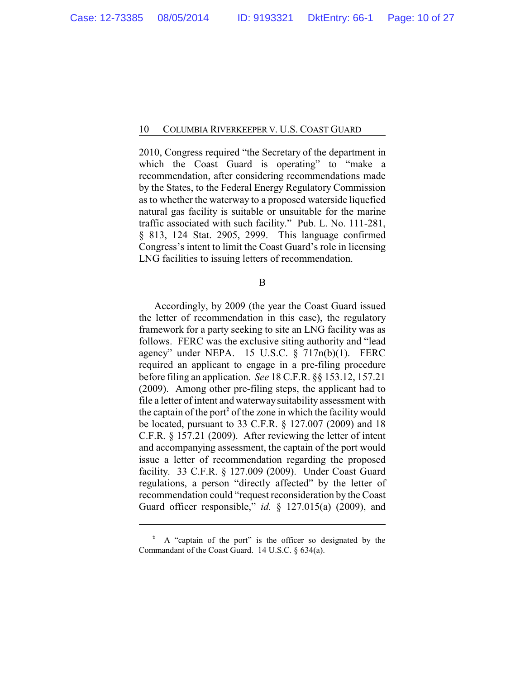2010, Congress required "the Secretary of the department in which the Coast Guard is operating" to "make a recommendation, after considering recommendations made by the States, to the Federal Energy Regulatory Commission as to whether the waterway to a proposed waterside liquefied natural gas facility is suitable or unsuitable for the marine traffic associated with such facility." Pub. L. No. 111-281, § 813, 124 Stat. 2905, 2999. This language confirmed Congress's intent to limit the Coast Guard's role in licensing LNG facilities to issuing letters of recommendation.

B

Accordingly, by 2009 (the year the Coast Guard issued the letter of recommendation in this case), the regulatory framework for a party seeking to site an LNG facility was as follows. FERC was the exclusive siting authority and "lead agency" under NEPA. 15 U.S.C.  $\S$  717n(b)(1). FERC required an applicant to engage in a pre-filing procedure before filing an application. *See* 18 C.F.R. §§ 153.12, 157.21 (2009). Among other pre-filing steps, the applicant had to file a letter of intent and waterwaysuitability assessment with the captain of the port**<sup>2</sup>** of the zone in which the facility would be located, pursuant to 33 C.F.R. § 127.007 (2009) and 18 C.F.R. § 157.21 (2009). After reviewing the letter of intent and accompanying assessment, the captain of the port would issue a letter of recommendation regarding the proposed facility. 33 C.F.R. § 127.009 (2009). Under Coast Guard regulations, a person "directly affected" by the letter of recommendation could "request reconsideration by the Coast Guard officer responsible," *id.* § 127.015(a) (2009), and

<sup>&</sup>lt;sup>2</sup> A "captain of the port" is the officer so designated by the Commandant of the Coast Guard. 14 U.S.C. § 634(a).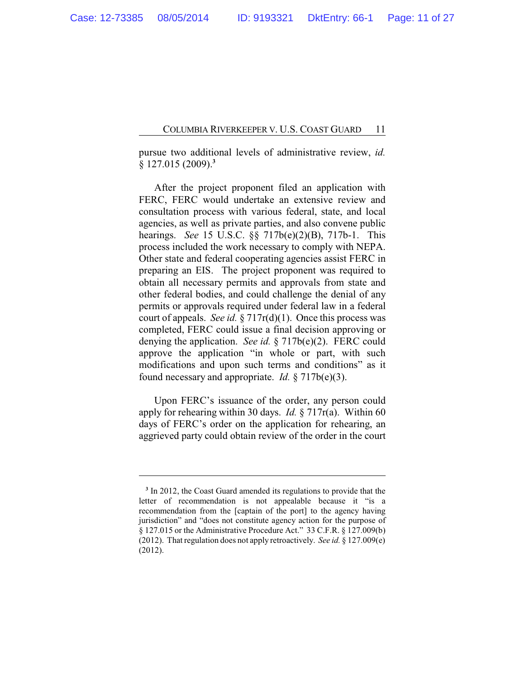pursue two additional levels of administrative review, *id.* § 127.015 (2009).**<sup>3</sup>**

After the project proponent filed an application with FERC, FERC would undertake an extensive review and consultation process with various federal, state, and local agencies, as well as private parties, and also convene public hearings. *See* 15 U.S.C. §§ 717b(e)(2)(B), 717b-1. This process included the work necessary to comply with NEPA. Other state and federal cooperating agencies assist FERC in preparing an EIS. The project proponent was required to obtain all necessary permits and approvals from state and other federal bodies, and could challenge the denial of any permits or approvals required under federal law in a federal court of appeals. *See id.* § 717r(d)(1). Once this process was completed, FERC could issue a final decision approving or denying the application. *See id.* § 717b(e)(2). FERC could approve the application "in whole or part, with such modifications and upon such terms and conditions" as it found necessary and appropriate. *Id.* § 717b(e)(3).

Upon FERC's issuance of the order, any person could apply for rehearing within 30 days. *Id.* § 717r(a). Within 60 days of FERC's order on the application for rehearing, an aggrieved party could obtain review of the order in the court

<sup>&</sup>lt;sup>3</sup> In 2012, the Coast Guard amended its regulations to provide that the letter of recommendation is not appealable because it "is a recommendation from the [captain of the port] to the agency having jurisdiction" and "does not constitute agency action for the purpose of § 127.015 or the Administrative Procedure Act." 33 C.F.R. § 127.009(b) (2012). That regulation does not apply retroactively. *See id.* § 127.009(e) (2012).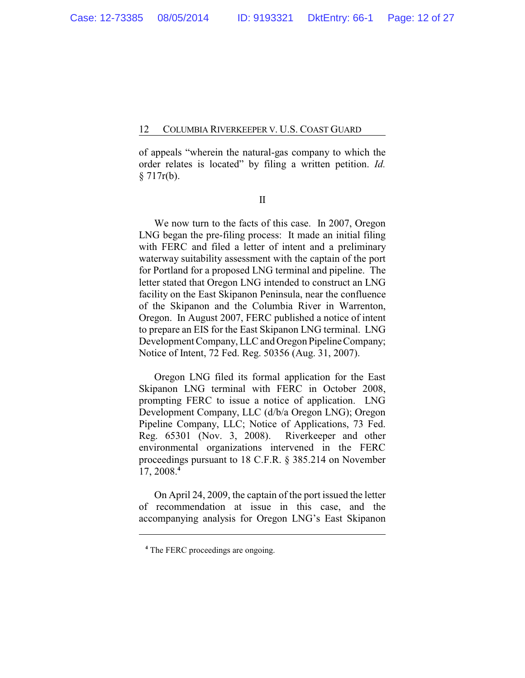of appeals "wherein the natural-gas company to which the order relates is located" by filing a written petition. *Id.* § 717r(b).

II

We now turn to the facts of this case. In 2007, Oregon LNG began the pre-filing process: It made an initial filing with FERC and filed a letter of intent and a preliminary waterway suitability assessment with the captain of the port for Portland for a proposed LNG terminal and pipeline. The letter stated that Oregon LNG intended to construct an LNG facility on the East Skipanon Peninsula, near the confluence of the Skipanon and the Columbia River in Warrenton, Oregon. In August 2007, FERC published a notice of intent to prepare an EIS for the East Skipanon LNG terminal. LNG Development Company, LLC and Oregon Pipeline Company; Notice of Intent, 72 Fed. Reg. 50356 (Aug. 31, 2007).

Oregon LNG filed its formal application for the East Skipanon LNG terminal with FERC in October 2008, prompting FERC to issue a notice of application. LNG Development Company, LLC (d/b/a Oregon LNG); Oregon Pipeline Company, LLC; Notice of Applications, 73 Fed. Reg. 65301 (Nov. 3, 2008). Riverkeeper and other environmental organizations intervened in the FERC proceedings pursuant to 18 C.F.R. § 385.214 on November 17, 2008.**<sup>4</sup>**

On April 24, 2009, the captain of the port issued the letter of recommendation at issue in this case, and the accompanying analysis for Oregon LNG's East Skipanon

**<sup>4</sup>** The FERC proceedings are ongoing.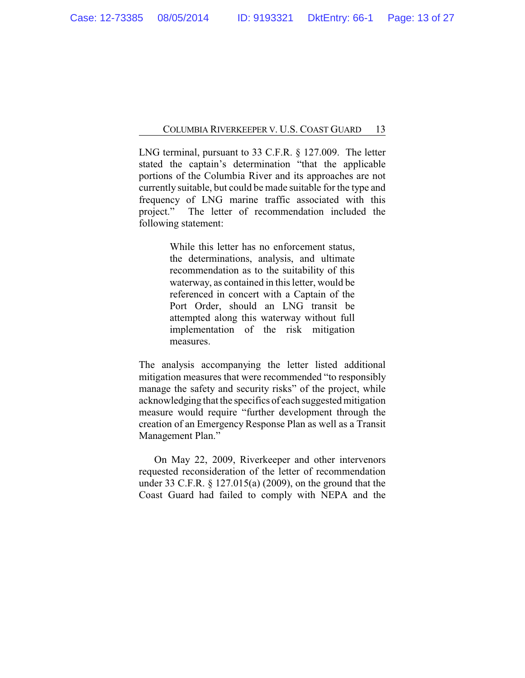LNG terminal, pursuant to 33 C.F.R. § 127.009. The letter stated the captain's determination "that the applicable portions of the Columbia River and its approaches are not currently suitable, but could be made suitable for the type and frequency of LNG marine traffic associated with this project." The letter of recommendation included the following statement:

> While this letter has no enforcement status, the determinations, analysis, and ultimate recommendation as to the suitability of this waterway, as contained in this letter, would be referenced in concert with a Captain of the Port Order, should an LNG transit be attempted along this waterway without full implementation of the risk mitigation measures.

The analysis accompanying the letter listed additional mitigation measures that were recommended "to responsibly manage the safety and security risks" of the project, while acknowledging that the specifics of each suggested mitigation measure would require "further development through the creation of an Emergency Response Plan as well as a Transit Management Plan."

On May 22, 2009, Riverkeeper and other intervenors requested reconsideration of the letter of recommendation under 33 C.F.R. § 127.015(a) (2009), on the ground that the Coast Guard had failed to comply with NEPA and the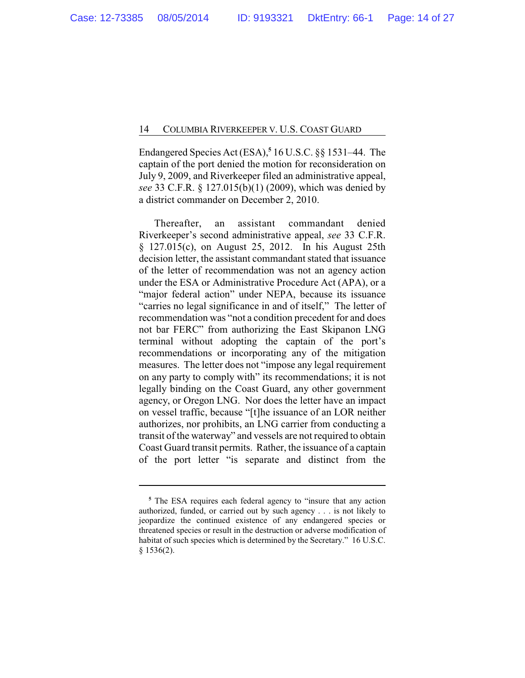Endangered Species Act (ESA),**<sup>5</sup>** 16 U.S.C. §§ 1531–44. The captain of the port denied the motion for reconsideration on July 9, 2009, and Riverkeeper filed an administrative appeal, *see* 33 C.F.R. § 127.015(b)(1) (2009), which was denied by a district commander on December 2, 2010.

Thereafter, an assistant commandant denied Riverkeeper's second administrative appeal, *see* 33 C.F.R. § 127.015(c), on August 25, 2012. In his August 25th decision letter, the assistant commandant stated that issuance of the letter of recommendation was not an agency action under the ESA or Administrative Procedure Act (APA), or a "major federal action" under NEPA, because its issuance "carries no legal significance in and of itself," The letter of recommendation was "not a condition precedent for and does not bar FERC" from authorizing the East Skipanon LNG terminal without adopting the captain of the port's recommendations or incorporating any of the mitigation measures. The letter does not "impose any legal requirement on any party to comply with" its recommendations; it is not legally binding on the Coast Guard, any other government agency, or Oregon LNG. Nor does the letter have an impact on vessel traffic, because "[t]he issuance of an LOR neither authorizes, nor prohibits, an LNG carrier from conducting a transit of the waterway" and vessels are not required to obtain Coast Guard transit permits. Rather, the issuance of a captain of the port letter "is separate and distinct from the

**<sup>5</sup>** The ESA requires each federal agency to "insure that any action authorized, funded, or carried out by such agency . . . is not likely to jeopardize the continued existence of any endangered species or threatened species or result in the destruction or adverse modification of habitat of such species which is determined by the Secretary." 16 U.S.C. § 1536(2).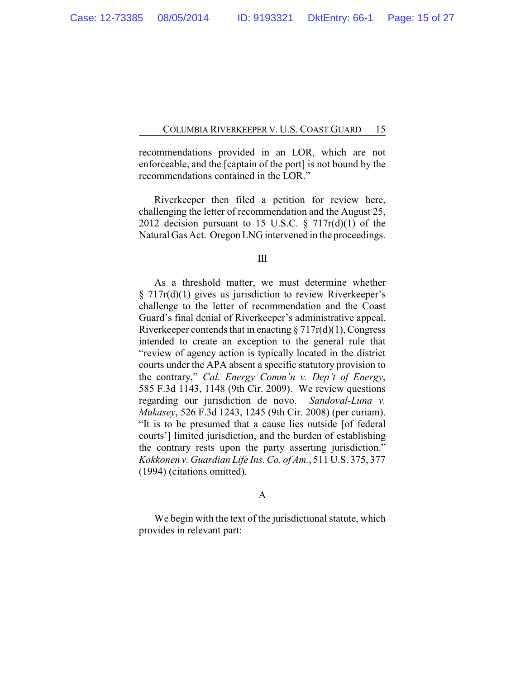recommendations provided in an LOR, which are not enforceable, and the [captain of the port] is not bound by the recommendations contained in the LOR."

Riverkeeper then filed a petition for review here, challenging the letter of recommendation and the August 25, 2012 decision pursuant to 15 U.S.C.  $\S$  717r(d)(1) of the Natural Gas Act. Oregon LNG intervened in the proceedings.

III

As a threshold matter, we must determine whether § 717r(d)(1) gives us jurisdiction to review Riverkeeper's challenge to the letter of recommendation and the Coast Guard's final denial of Riverkeeper's administrative appeal. Riverkeeper contends that in enacting  $\S 717r(d)(1)$ , Congress intended to create an exception to the general rule that "review of agency action is typically located in the district courts under the APA absent a specific statutory provision to the contrary," *Cal. Energy Comm'n v. Dep't of Energy*, 585 F.3d 1143, 1148 (9th Cir. 2009). We review questions regarding our jurisdiction de novo. *Sandoval-Luna v. Mukasey*, 526 F.3d 1243, 1245 (9th Cir. 2008) (per curiam). "It is to be presumed that a cause lies outside [of federal courts'] limited jurisdiction, and the burden of establishing the contrary rests upon the party asserting jurisdiction." *Kokkonen v. Guardian Life Ins. Co. of Am.*, 511 U.S. 375, 377 (1994) (citations omitted).

#### A

We begin with the text of the jurisdictional statute, which provides in relevant part: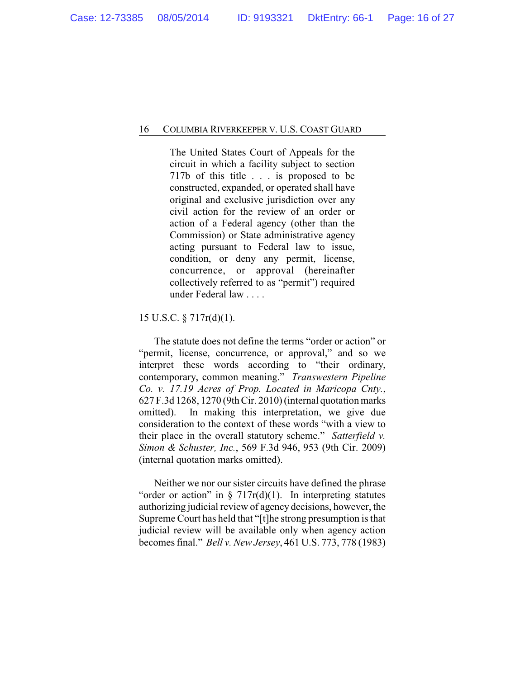The United States Court of Appeals for the circuit in which a facility subject to section 717b of this title . . . is proposed to be constructed, expanded, or operated shall have original and exclusive jurisdiction over any civil action for the review of an order or action of a Federal agency (other than the Commission) or State administrative agency acting pursuant to Federal law to issue, condition, or deny any permit, license, concurrence, or approval (hereinafter collectively referred to as "permit") required under Federal law . . . .

15 U.S.C. § 717r(d)(1).

The statute does not define the terms "order or action" or "permit, license, concurrence, or approval," and so we interpret these words according to "their ordinary, contemporary, common meaning." *Transwestern Pipeline Co. v. 17.19 Acres of Prop. Located in Maricopa Cnty.*, 627 F.3d 1268, 1270 (9th Cir. 2010) (internal quotation marks omitted). In making this interpretation, we give due consideration to the context of these words "with a view to their place in the overall statutory scheme." *Satterfield v. Simon & Schuster, Inc.*, 569 F.3d 946, 953 (9th Cir. 2009) (internal quotation marks omitted).

Neither we nor our sister circuits have defined the phrase "order or action" in  $\S 717r(d)(1)$ . In interpreting statutes authorizing judicial review of agency decisions, however, the Supreme Court has held that "[t]he strong presumption is that judicial review will be available only when agency action becomes final." *Bell v. New Jersey*, 461 U.S. 773, 778 (1983)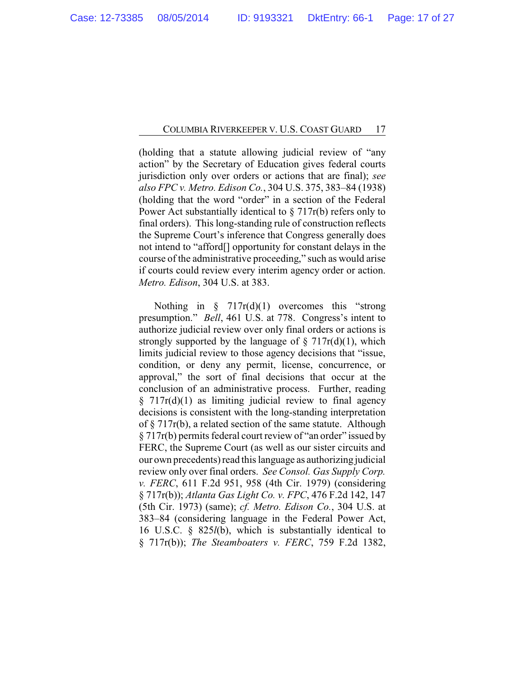(holding that a statute allowing judicial review of "any action" by the Secretary of Education gives federal courts jurisdiction only over orders or actions that are final); *see also FPC v. Metro. Edison Co.*, 304 U.S. 375, 383–84 (1938) (holding that the word "order" in a section of the Federal Power Act substantially identical to § 717r(b) refers only to final orders). This long-standing rule of construction reflects the Supreme Court's inference that Congress generally does not intend to "afford[] opportunity for constant delays in the course of the administrative proceeding," such as would arise if courts could review every interim agency order or action. *Metro. Edison*, 304 U.S. at 383.

Nothing in  $\S$  717r(d)(1) overcomes this "strong presumption." *Bell*, 461 U.S. at 778. Congress's intent to authorize judicial review over only final orders or actions is strongly supported by the language of  $\S$  717r(d)(1), which limits judicial review to those agency decisions that "issue, condition, or deny any permit, license, concurrence, or approval," the sort of final decisions that occur at the conclusion of an administrative process. Further, reading § 717r(d)(1) as limiting judicial review to final agency decisions is consistent with the long-standing interpretation of § 717r(b), a related section of the same statute. Although § 717r(b) permits federal court review of "an order" issued by FERC, the Supreme Court (as well as our sister circuits and our own precedents) read this language as authorizing judicial review only over final orders. *See Consol. Gas Supply Corp. v. FERC*, 611 F.2d 951, 958 (4th Cir. 1979) (considering § 717r(b)); *Atlanta Gas Light Co. v. FPC*, 476 F.2d 142, 147 (5th Cir. 1973) (same); *cf. Metro. Edison Co.*, 304 U.S. at 383–84 (considering language in the Federal Power Act, 16 U.S.C. § 825*l*(b), which is substantially identical to § 717r(b)); *The Steamboaters v. FERC*, 759 F.2d 1382,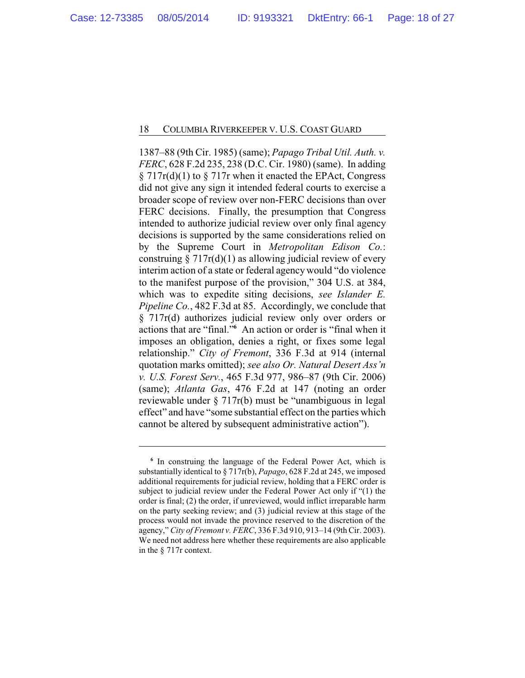1387–88 (9th Cir. 1985) (same); *Papago Tribal Util. Auth. v. FERC*, 628 F.2d 235, 238 (D.C. Cir. 1980) (same). In adding § 717r(d)(1) to § 717r when it enacted the EPAct, Congress did not give any sign it intended federal courts to exercise a broader scope of review over non-FERC decisions than over FERC decisions. Finally, the presumption that Congress intended to authorize judicial review over only final agency decisions is supported by the same considerations relied on by the Supreme Court in *Metropolitan Edison Co.*: construing  $\S 717r(d)(1)$  as allowing judicial review of every interim action of a state or federal agencywould "do violence to the manifest purpose of the provision," 304 U.S. at 384, which was to expedite siting decisions, *see Islander E. Pipeline Co.*, 482 F.3d at 85. Accordingly, we conclude that § 717r(d) authorizes judicial review only over orders or actions that are "final."**<sup>6</sup>** An action or order is "final when it imposes an obligation, denies a right, or fixes some legal relationship." *City of Fremont*, 336 F.3d at 914 (internal quotation marks omitted); *see also Or. Natural Desert Ass'n v. U.S. Forest Serv.*, 465 F.3d 977, 986–87 (9th Cir. 2006) (same); *Atlanta Gas*, 476 F.2d at 147 (noting an order reviewable under § 717r(b) must be "unambiguous in legal effect" and have "some substantial effect on the parties which cannot be altered by subsequent administrative action").

**<sup>6</sup>** In construing the language of the Federal Power Act, which is substantially identical to § 717r(b), *Papago*, 628 F.2d at 245, we imposed additional requirements for judicial review, holding that a FERC order is subject to judicial review under the Federal Power Act only if "(1) the order is final; (2) the order, if unreviewed, would inflict irreparable harm on the party seeking review; and (3) judicial review at this stage of the process would not invade the province reserved to the discretion of the agency," *City of Fremont v. FERC*, 336 F.3d 910, 913–14 (9th Cir. 2003). We need not address here whether these requirements are also applicable in the § 717r context.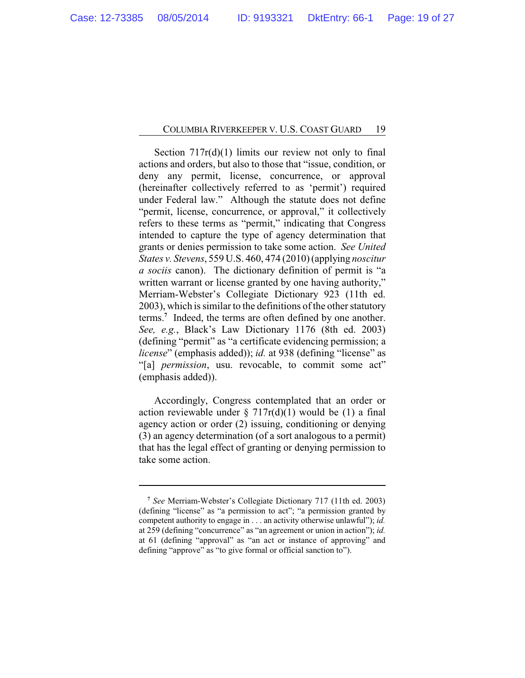Section  $717r(d)(1)$  limits our review not only to final actions and orders, but also to those that "issue, condition, or deny any permit, license, concurrence, or approval (hereinafter collectively referred to as 'permit') required under Federal law." Although the statute does not define "permit, license, concurrence, or approval," it collectively refers to these terms as "permit," indicating that Congress intended to capture the type of agency determination that grants or denies permission to take some action. *See United States v. Stevens*, 559 U.S. 460, 474 (2010) (applying *noscitur a sociis* canon). The dictionary definition of permit is "a written warrant or license granted by one having authority," Merriam-Webster's Collegiate Dictionary 923 (11th ed. 2003), which is similar to the definitions of the other statutory terms.**<sup>7</sup>** Indeed, the terms are often defined by one another. *See, e.g.*, Black's Law Dictionary 1176 (8th ed. 2003) (defining "permit" as "a certificate evidencing permission; a *license*" (emphasis added)); *id.* at 938 (defining "license" as "[a] *permission*, usu. revocable, to commit some act" (emphasis added)).

Accordingly, Congress contemplated that an order or action reviewable under  $\S 717r(d)(1)$  would be (1) a final agency action or order (2) issuing, conditioning or denying (3) an agency determination (of a sort analogous to a permit) that has the legal effect of granting or denying permission to take some action.

**<sup>7</sup>** *See* Merriam-Webster's Collegiate Dictionary 717 (11th ed. 2003) (defining "license" as "a permission to act"; "a permission granted by competent authority to engage in . . . an activity otherwise unlawful"); *id.* at 259 (defining "concurrence" as "an agreement or union in action"); *id.* at 61 (defining "approval" as "an act or instance of approving" and defining "approve" as "to give formal or official sanction to").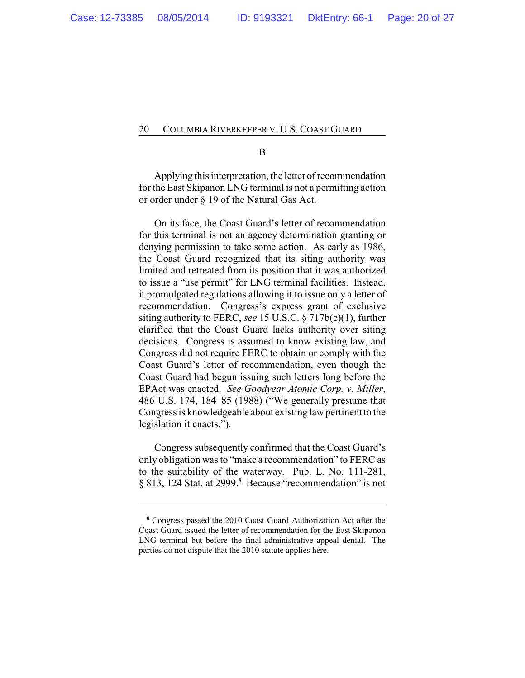B

Applying this interpretation, the letter of recommendation for the East Skipanon LNG terminal is not a permitting action or order under § 19 of the Natural Gas Act.

On its face, the Coast Guard's letter of recommendation for this terminal is not an agency determination granting or denying permission to take some action. As early as 1986, the Coast Guard recognized that its siting authority was limited and retreated from its position that it was authorized to issue a "use permit" for LNG terminal facilities. Instead, it promulgated regulations allowing it to issue only a letter of recommendation. Congress's express grant of exclusive siting authority to FERC, *see* 15 U.S.C. § 717b(e)(1), further clarified that the Coast Guard lacks authority over siting decisions. Congress is assumed to know existing law, and Congress did not require FERC to obtain or comply with the Coast Guard's letter of recommendation, even though the Coast Guard had begun issuing such letters long before the EPAct was enacted. *See Goodyear Atomic Corp. v. Miller*, 486 U.S. 174, 184–85 (1988) ("We generally presume that Congress is knowledgeable about existing law pertinent to the legislation it enacts.").

Congress subsequently confirmed that the Coast Guard's only obligation was to "make a recommendation" to FERC as to the suitability of the waterway. Pub. L. No. 111-281, § 813, 124 Stat. at 2999.**<sup>8</sup>** Because "recommendation" is not

**<sup>8</sup>** Congress passed the 2010 Coast Guard Authorization Act after the Coast Guard issued the letter of recommendation for the East Skipanon LNG terminal but before the final administrative appeal denial. The parties do not dispute that the 2010 statute applies here.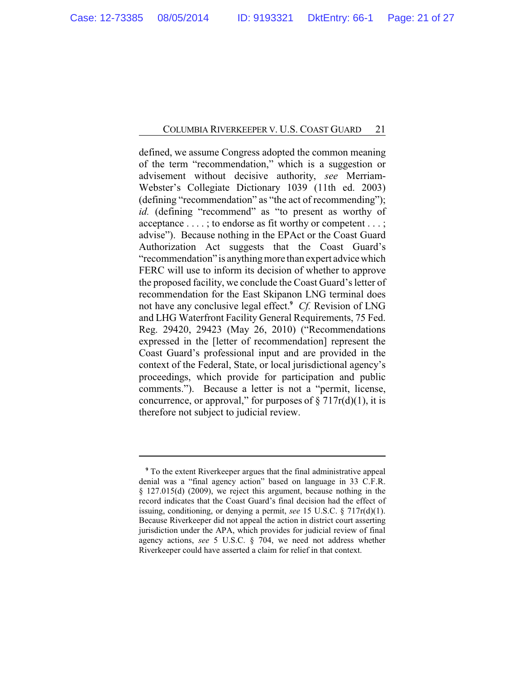defined, we assume Congress adopted the common meaning of the term "recommendation," which is a suggestion or advisement without decisive authority, *see* Merriam-Webster's Collegiate Dictionary 1039 (11th ed. 2003) (defining "recommendation" as "the act of recommending"); id. (defining "recommend" as "to present as worthy of acceptance . . . . ; to endorse as fit worthy or competent . . . ; advise"). Because nothing in the EPAct or the Coast Guard Authorization Act suggests that the Coast Guard's "recommendation" is anything more than expert advice which FERC will use to inform its decision of whether to approve the proposed facility, we conclude the Coast Guard's letter of recommendation for the East Skipanon LNG terminal does not have any conclusive legal effect.**<sup>9</sup>** *Cf.* Revision of LNG and LHG Waterfront Facility General Requirements, 75 Fed. Reg. 29420, 29423 (May 26, 2010) ("Recommendations expressed in the [letter of recommendation] represent the Coast Guard's professional input and are provided in the context of the Federal, State, or local jurisdictional agency's proceedings, which provide for participation and public comments."). Because a letter is not a "permit, license, concurrence, or approval," for purposes of  $\S 717r(d)(1)$ , it is therefore not subject to judicial review.

**<sup>9</sup>** To the extent Riverkeeper argues that the final administrative appeal denial was a "final agency action" based on language in 33 C.F.R. § 127.015(d) (2009), we reject this argument, because nothing in the record indicates that the Coast Guard's final decision had the effect of issuing, conditioning, or denying a permit, *see* 15 U.S.C. § 717r(d)(1). Because Riverkeeper did not appeal the action in district court asserting jurisdiction under the APA, which provides for judicial review of final agency actions, *see* 5 U.S.C. § 704, we need not address whether Riverkeeper could have asserted a claim for relief in that context.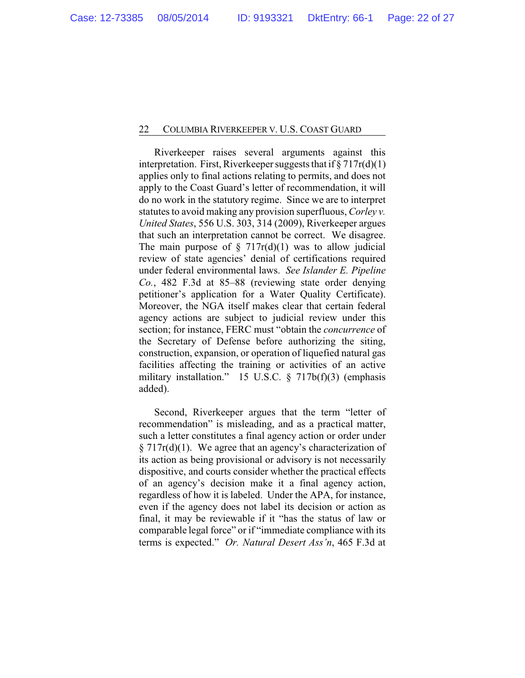Riverkeeper raises several arguments against this interpretation. First, Riverkeeper suggests that if  $\S 717r(d)(1)$ applies only to final actions relating to permits, and does not apply to the Coast Guard's letter of recommendation, it will do no work in the statutory regime. Since we are to interpret statutes to avoid making any provision superfluous, *Corley v. United States*, 556 U.S. 303, 314 (2009), Riverkeeper argues that such an interpretation cannot be correct. We disagree. The main purpose of  $\S$  717r(d)(1) was to allow judicial review of state agencies' denial of certifications required under federal environmental laws. *See Islander E. Pipeline Co.*, 482 F.3d at 85–88 (reviewing state order denying petitioner's application for a Water Quality Certificate). Moreover, the NGA itself makes clear that certain federal agency actions are subject to judicial review under this section; for instance, FERC must "obtain the *concurrence* of the Secretary of Defense before authorizing the siting, construction, expansion, or operation of liquefied natural gas facilities affecting the training or activities of an active military installation." 15 U.S.C. § 717b(f)(3) (emphasis added).

Second, Riverkeeper argues that the term "letter of recommendation" is misleading, and as a practical matter, such a letter constitutes a final agency action or order under  $\S 717r(d)(1)$ . We agree that an agency's characterization of its action as being provisional or advisory is not necessarily dispositive, and courts consider whether the practical effects of an agency's decision make it a final agency action, regardless of how it is labeled. Under the APA, for instance, even if the agency does not label its decision or action as final, it may be reviewable if it "has the status of law or comparable legal force" or if "immediate compliance with its terms is expected." *Or. Natural Desert Ass'n*, 465 F.3d at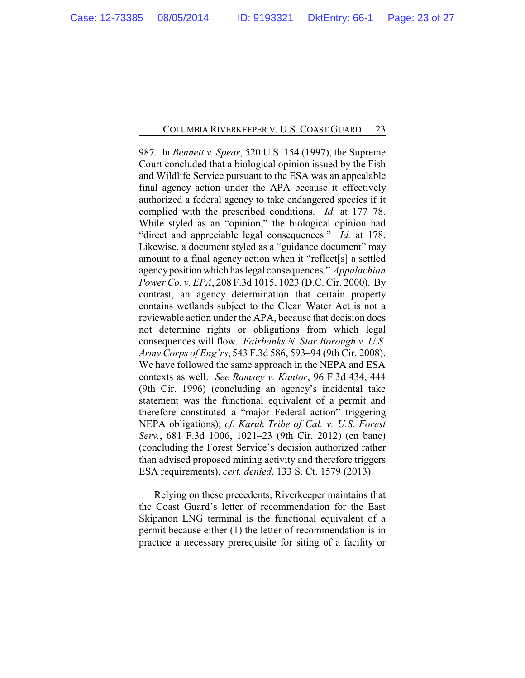987. In *Bennett v. Spear*, 520 U.S. 154 (1997), the Supreme Court concluded that a biological opinion issued by the Fish and Wildlife Service pursuant to the ESA was an appealable final agency action under the APA because it effectively authorized a federal agency to take endangered species if it complied with the prescribed conditions. *Id.* at 177–78. While styled as an "opinion," the biological opinion had "direct and appreciable legal consequences." *Id.* at 178. Likewise, a document styled as a "guidance document" may amount to a final agency action when it "reflect[s] a settled agencyposition which has legal consequences." *Appalachian Power Co. v. EPA*, 208 F.3d 1015, 1023 (D.C. Cir. 2000). By contrast, an agency determination that certain property contains wetlands subject to the Clean Water Act is not a reviewable action under the APA, because that decision does not determine rights or obligations from which legal consequences will flow. *Fairbanks N. Star Borough v. U.S. Army Corps of Eng'rs*, 543 F.3d 586, 593–94 (9th Cir. 2008). We have followed the same approach in the NEPA and ESA contexts as well. *See Ramsey v. Kantor*, 96 F.3d 434, 444 (9th Cir. 1996) (concluding an agency's incidental take statement was the functional equivalent of a permit and therefore constituted a "major Federal action" triggering NEPA obligations); *cf. Karuk Tribe of Cal. v. U.S. Forest Serv.*, 681 F.3d 1006, 1021–23 (9th Cir. 2012) (en banc) (concluding the Forest Service's decision authorized rather than advised proposed mining activity and therefore triggers ESA requirements), *cert. denied*, 133 S. Ct. 1579 (2013).

Relying on these precedents, Riverkeeper maintains that the Coast Guard's letter of recommendation for the East Skipanon LNG terminal is the functional equivalent of a permit because either (1) the letter of recommendation is in practice a necessary prerequisite for siting of a facility or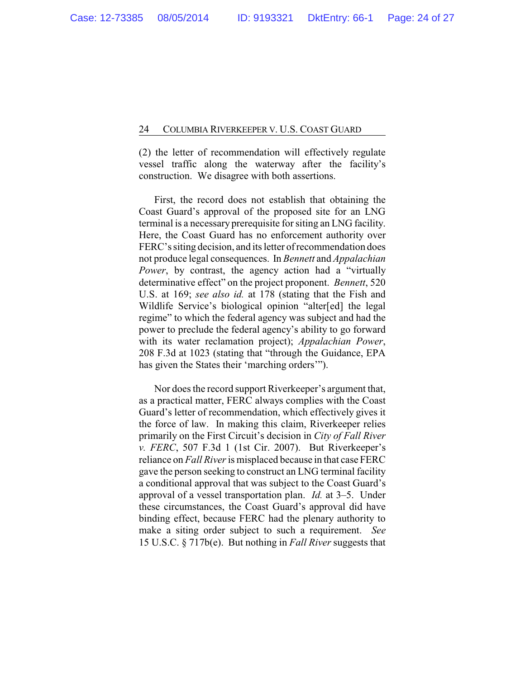(2) the letter of recommendation will effectively regulate vessel traffic along the waterway after the facility's construction. We disagree with both assertions.

First, the record does not establish that obtaining the Coast Guard's approval of the proposed site for an LNG terminal is a necessary prerequisite for siting an LNG facility. Here, the Coast Guard has no enforcement authority over FERC's siting decision, and its letter of recommendation does not produce legal consequences. In *Bennett* and *Appalachian* Power, by contrast, the agency action had a "virtually determinative effect" on the project proponent. *Bennett*, 520 U.S. at 169; *see also id.* at 178 (stating that the Fish and Wildlife Service's biological opinion "alter[ed] the legal regime" to which the federal agency was subject and had the power to preclude the federal agency's ability to go forward with its water reclamation project); *Appalachian Power*, 208 F.3d at 1023 (stating that "through the Guidance, EPA has given the States their 'marching orders'").

Nor does the record support Riverkeeper's argument that, as a practical matter, FERC always complies with the Coast Guard's letter of recommendation, which effectively gives it the force of law. In making this claim, Riverkeeper relies primarily on the First Circuit's decision in *City of Fall River v. FERC*, 507 F.3d 1 (1st Cir. 2007). But Riverkeeper's reliance on *Fall River*is misplaced because in that case FERC gave the person seeking to construct an LNG terminal facility a conditional approval that was subject to the Coast Guard's approval of a vessel transportation plan. *Id.* at 3–5. Under these circumstances, the Coast Guard's approval did have binding effect, because FERC had the plenary authority to make a siting order subject to such a requirement. *See* 15 U.S.C. § 717b(e). But nothing in *Fall River* suggests that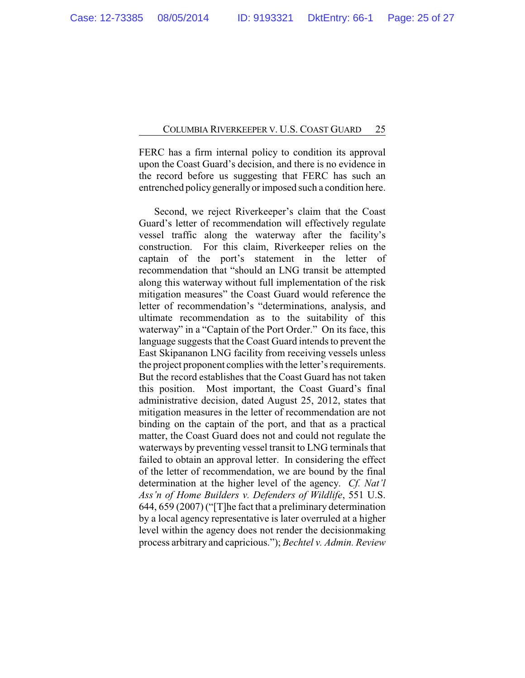FERC has a firm internal policy to condition its approval upon the Coast Guard's decision, and there is no evidence in the record before us suggesting that FERC has such an entrenched policygenerallyor imposed such a condition here.

Second, we reject Riverkeeper's claim that the Coast Guard's letter of recommendation will effectively regulate vessel traffic along the waterway after the facility's construction. For this claim, Riverkeeper relies on the captain of the port's statement in the letter of recommendation that "should an LNG transit be attempted along this waterway without full implementation of the risk mitigation measures" the Coast Guard would reference the letter of recommendation's "determinations, analysis, and ultimate recommendation as to the suitability of this waterway" in a "Captain of the Port Order." On its face, this language suggests that the Coast Guard intends to prevent the East Skipananon LNG facility from receiving vessels unless the project proponent complies with the letter's requirements. But the record establishes that the Coast Guard has not taken this position. Most important, the Coast Guard's final administrative decision, dated August 25, 2012, states that mitigation measures in the letter of recommendation are not binding on the captain of the port, and that as a practical matter, the Coast Guard does not and could not regulate the waterways by preventing vessel transit to LNG terminals that failed to obtain an approval letter. In considering the effect of the letter of recommendation, we are bound by the final determination at the higher level of the agency. *Cf. Nat'l Ass'n of Home Builders v. Defenders of Wildlife*, 551 U.S. 644, 659 (2007) ("[T]he fact that a preliminary determination by a local agency representative is later overruled at a higher level within the agency does not render the decisionmaking process arbitrary and capricious."); *Bechtel v. Admin. Review*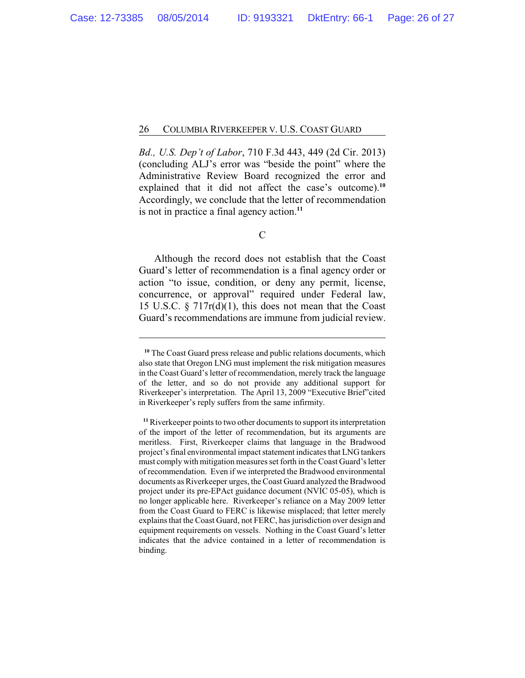*Bd., U.S. Dep't of Labor*, 710 F.3d 443, 449 (2d Cir. 2013) (concluding ALJ's error was "beside the point" where the Administrative Review Board recognized the error and explained that it did not affect the case's outcome).**<sup>10</sup>** Accordingly, we conclude that the letter of recommendation is not in practice a final agency action.**<sup>11</sup>**

Although the record does not establish that the Coast Guard's letter of recommendation is a final agency order or action "to issue, condition, or deny any permit, license, concurrence, or approval" required under Federal law, 15 U.S.C. § 717r(d)(1), this does not mean that the Coast Guard's recommendations are immune from judicial review.

C

**<sup>10</sup>** The Coast Guard press release and public relations documents, which also state that Oregon LNG must implement the risk mitigation measures in the Coast Guard's letter of recommendation, merely track the language of the letter, and so do not provide any additional support for Riverkeeper's interpretation. The April 13, 2009 "Executive Brief"cited in Riverkeeper's reply suffers from the same infirmity.

**<sup>11</sup>**Riverkeeper points to two other documents to support its interpretation of the import of the letter of recommendation, but its arguments are meritless. First, Riverkeeper claims that language in the Bradwood project's final environmental impact statement indicates that LNG tankers must complywith mitigation measures set forth in the Coast Guard's letter of recommendation. Even if we interpreted the Bradwood environmental documents as Riverkeeper urges, the Coast Guard analyzed the Bradwood project under its pre-EPAct guidance document (NVIC 05-05), which is no longer applicable here. Riverkeeper's reliance on a May 2009 letter from the Coast Guard to FERC is likewise misplaced; that letter merely explains that the Coast Guard, not FERC, has jurisdiction over design and equipment requirements on vessels. Nothing in the Coast Guard's letter indicates that the advice contained in a letter of recommendation is binding.